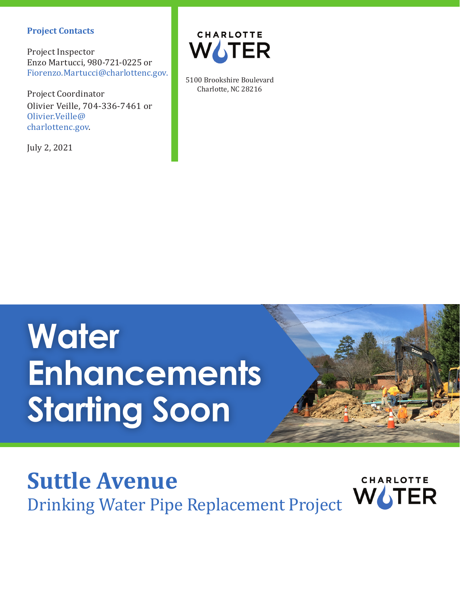#### **Project Contacts**

Project Inspector Enzo Martucci, 980-721-0225 or Fiorenzo.Martucci@charlottenc.gov.

Project Coordinator Olivier Veille, 704-336-7461 or Olivier.Veille@ charlottenc.gov.

July 2, 2021



5100 Brookshire Boulevard Charlotte, NC 28216

# **Water Enhancements Starting Soon**



### **Suttle Avenue CHARLOTTE** Drinking Water Pipe Replacement Project